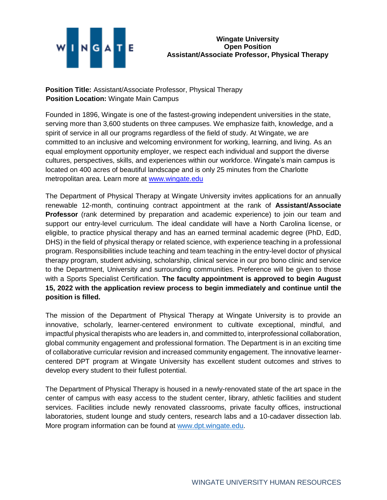

**Position Title:** Assistant/Associate Professor, Physical Therapy **Position Location:** Wingate Main Campus

Founded in 1896, Wingate is one of the fastest-growing independent universities in the state, serving more than 3,600 students on three campuses. We emphasize faith, knowledge, and a spirit of service in all our programs regardless of the field of study. At Wingate, we are committed to an inclusive and welcoming environment for working, learning, and living. As an equal employment opportunity employer, we respect each individual and support the diverse cultures, perspectives, skills, and experiences within our workforce. Wingate's main campus is located on 400 acres of beautiful landscape and is only 25 minutes from the Charlotte metropolitan area. Learn more at [www.wingate.edu](http://www.wingate/edu)

The Department of Physical Therapy at Wingate University invites applications for an annually renewable 12-month, continuing contract appointment at the rank of **Assistant/Associate Professor** (rank determined by preparation and academic experience) to join our team and support our entry-level curriculum. The ideal candidate will have a North Carolina license, or eligible, to practice physical therapy and has an earned terminal academic degree (PhD, EdD, DHS) in the field of physical therapy or related science, with experience teaching in a professional program. Responsibilities include teaching and team teaching in the entry-level doctor of physical therapy program, student advising, scholarship, clinical service in our pro bono clinic and service to the Department, University and surrounding communities. Preference will be given to those with a Sports Specialist Certification. **The faculty appointment is approved to begin August 15, 2022 with the application review process to begin immediately and continue until the position is filled.**

The mission of the Department of Physical Therapy at Wingate University is to provide an innovative, scholarly, learner-centered environment to cultivate exceptional, mindful, and impactful physical therapists who are leaders in, and committed to, interprofessional collaboration, global community engagement and professional formation. The Department is in an exciting time of collaborative curricular revision and increased community engagement. The innovative learnercentered DPT program at Wingate University has excellent student outcomes and strives to develop every student to their fullest potential.

The Department of Physical Therapy is housed in a newly-renovated state of the art space in the center of campus with easy access to the student center, library, athletic facilities and student services. Facilities include newly renovated classrooms, private faculty offices, instructional laboratories, student lounge and study centers, research labs and a 10-cadaver dissection lab. More program information can be found at [www.dpt.wingate.edu.](http://www.dpt.wingate.edu/)